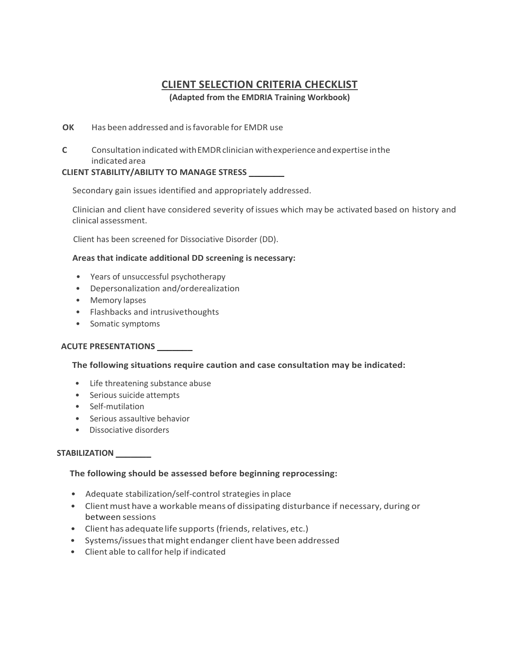# **CLIENT SELECTION CRITERIA CHECKLIST**

**(Adapted from the EMDRIA Training Workbook)**

# **OK** Has been addressed and isfavorable for EMDR use

**C** Consultation indicated with EMDR clinician with experience and expertise in the indicated area

# **CLIENT STABILITY/ABILITY TO MANAGE STRESS \_\_\_\_\_\_\_**

Secondary gain issues identified and appropriately addressed.

Clinician and client have considered severity ofissues which may be activated based on history and clinical assessment.

Client has been screened for Dissociative Disorder (DD).

# **Areas that indicate additional DD screening is necessary:**

- Years of unsuccessful psychotherapy
- Depersonalization and/orderealization
- Memory lapses
- Flashbacks and intrusivethoughts
- Somatic symptoms

# **ACUTE PRESENTATIONS \_\_\_\_\_\_\_**

# **The following situations require caution and case consultation may be indicated:**

- Life threatening substance abuse
- Serious suicide attempts
- Self-mutilation
- Serious assaultive behavior
- Dissociative disorders

# **STABILIZATION \_\_\_\_\_\_\_**

# **The following should be assessed before beginning reprocessing:**

- Adequate stabilization/self-control strategies in place
- Clientmust have a workable means of dissipating disturbance if necessary, during or between sessions
- Client has adequatelife supports (friends, relatives, etc.)
- Systems/issuesthatmight endanger client have been addressed
- Client able to callfor help if indicated